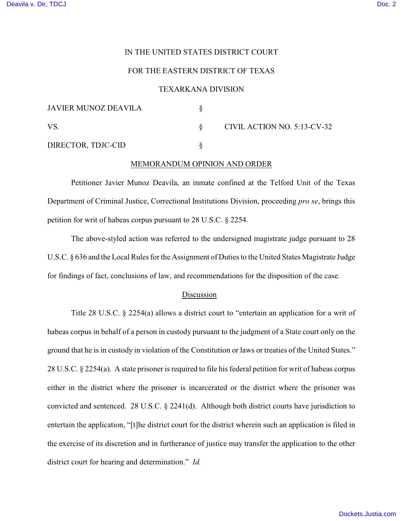### IN THE UNITED STATES DISTRICT COURT

# FOR THE EASTERN DISTRICT OF TEXAS

#### TEXARKANA DIVISION

| <b>JAVIER MUNOZ DEAVILA</b> |                             |
|-----------------------------|-----------------------------|
| VS.                         | CIVIL ACTION NO. 5:13-CV-32 |
| DIRECTOR, TDJC-CID          |                             |

### MEMORANDUM OPINION AND ORDER

Petitioner Javier Munoz Deavila, an inmate confined at the Telford Unit of the Texas Department of Criminal Justice, Correctional Institutions Division, proceeding *pro se*, brings this petition for writ of habeas corpus pursuant to 28 U.S.C. § 2254.

The above-styled action was referred to the undersigned magistrate judge pursuant to 28 U.S.C. § 636 and the Local Rules for the Assignment of Duties to the United States Magistrate Judge for findings of fact, conclusions of law, and recommendations for the disposition of the case.

# Discussion

Title 28 U.S.C. § 2254(a) allows a district court to "entertain an application for a writ of habeas corpus in behalf of a person in custody pursuant to the judgment of a State court only on the ground that he is in custody in violation of the Constitution or laws or treaties of the United States." 28 U.S.C. § 2254(a). A state prisoner is required to file his federal petition for writ of habeas corpus either in the district where the prisoner is incarcerated or the district where the prisoner was convicted and sentenced. 28 U.S.C. § 2241(d). Although both district courts have jurisdiction to entertain the application, "[t]he district court for the district wherein such an application is filed in the exercise of its discretion and in furtherance of justice may transfer the application to the other district court for hearing and determination." *Id.*